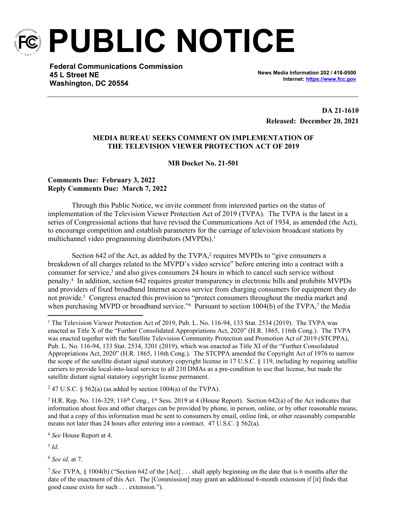

**PUBLIC NOTICE**

**Federal Communications Commission 45 L Street NE Washington, DC 20554**

**News Media Information 202 / 418-0500 Internet:<https://www.fcc.gov>**

**DA 21-1610 Released: December 20, 2021**

## **MEDIA BUREAU SEEKS COMMENT ON IMPLEMENTATION OF THE TELEVISION VIEWER PROTECTION ACT OF 2019**

**MB Docket No. 21-501** 

## **Comments Due: February 3, 2022 Reply Comments Due: March 7, 2022**

Through this Public Notice, we invite comment from interested parties on the status of implementation of the Television Viewer Protection Act of 2019 (TVPA). The TVPA is the latest in a series of Congressional actions that have revised the Communications Act of 1934, as amended (the Act), to encourage competition and establish parameters for the carriage of television broadcast stations by multichannel video programming distributors (MVPDs).<sup>1</sup>

Section 642 of the Act, as added by the TVPA,<sup>2</sup> requires MVPDs to "give consumers a breakdown of all charges related to the MVPD's video service" before entering into a contract with a consumer for service,<sup>3</sup> and also gives consumers 24 hours in which to cancel such service without penalty.<sup>4</sup> In addition, section 642 requires greater transparency in electronic bills and prohibits MVPDs and providers of fixed broadband Internet access service from charging consumers for equipment they do not provide.<sup>5</sup> Congress enacted this provision to "protect consumers throughout the media market and when purchasing MVPD or broadband service."<sup>6</sup> Pursuant to section 1004(b) of the TVPA,<sup>7</sup> the Media

<sup>2</sup> 47 U.S.C. § 562(a) (as added by section 1004(a) of the TVPA).

<sup>3</sup> H.R. Rep. No. 116-329, 116<sup>th</sup> Cong., 1<sup>st</sup> Sess. 2019 at 4 (House Report). Section 642(a) of the Act indicates that information about fees and other charges can be provided by phone, in person, online, or by other reasonable means, and that a copy of this information must be sent to consumers by email, online link, or other reasonably comparable means not later than 24 hours after entering into a contract. 47 U.S.C. § 562(a).

<sup>4</sup> *See* House Report at 4.

5 *Id*.

<sup>6</sup> *See id*. at 7.

<sup>&</sup>lt;sup>1</sup> The Television Viewer Protection Act of 2019, Pub. L. No. 116-94, 133 Stat. 2534 (2019). The TVPA was enacted as Title X of the "Further Consolidated Appropriations Act, 2020" (H.R. 1865, 116th Cong.). The TVPA was enacted together with the Satellite Television Community Protection and Promotion Act of 2019 (STCPPA), Pub. L. No. 116-94, 133 Stat. 2534, 3201 (2019), which was enacted as Title XI of the "Further Consolidated Appropriations Act, 2020" (H.R. 1865, 116th Cong.). The STCPPA amended the Copyright Act of 1976 to narrow the scope of the satellite distant signal statutory copyright license in 17 U.S.C. § 119, including by requiring satellite carriers to provide local-into-local service to all 210 DMAs as a pre-condition to use that license, but made the satellite distant signal statutory copyright license permanent.

<sup>7</sup> *See* TVPA, § 1004(b) ("Section 642 of the [Act] . . . shall apply beginning on the date that is 6 months after the date of the enactment of this Act. The [Commission] may grant an additional 6-month extension if [it] finds that good cause exists for such . . . extension.").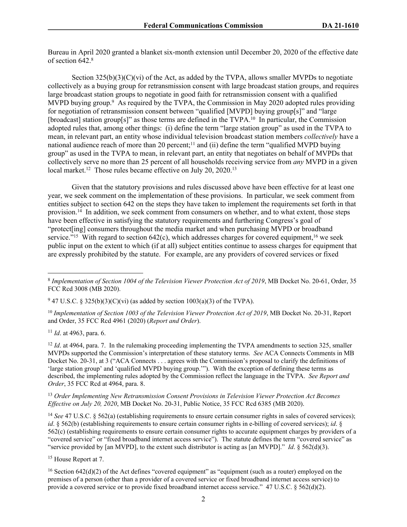Bureau in April 2020 granted a blanket six-month extension until December 20, 2020 of the effective date of section 642.<sup>8</sup>

Section  $325(b)(3)(C)(vi)$  of the Act, as added by the TVPA, allows smaller MVPDs to negotiate collectively as a buying group for retransmission consent with large broadcast station groups, and requires large broadcast station groups to negotiate in good faith for retransmission consent with a qualified MVPD buying group.<sup>9</sup> As required by the TVPA, the Commission in May 2020 adopted rules providing for negotiation of retransmission consent between "qualified [MVPD] buying group[s]" and "large [broadcast] station group[s]" as those terms are defined in the TVPA.<sup>10</sup> In particular, the Commission adopted rules that, among other things: (i) define the term "large station group" as used in the TVPA to mean, in relevant part, an entity whose individual television broadcast station members *collectively* have a national audience reach of more than 20 percent;<sup>11</sup> and (ii) define the term "qualified MVPD buying group" as used in the TVPA to mean, in relevant part, an entity that negotiates on behalf of MVPDs that collectively serve no more than 25 percent of all households receiving service from *any* MVPD in a given local market.<sup>12</sup> Those rules became effective on July 20, 2020.<sup>13</sup>

Given that the statutory provisions and rules discussed above have been effective for at least one year, we seek comment on the implementation of these provisions. In particular, we seek comment from entities subject to section 642 on the steps they have taken to implement the requirements set forth in that provision.<sup>14</sup> In addition, we seek comment from consumers on whether, and to what extent, those steps have been effective in satisfying the statutory requirements and furthering Congress's goal of "protect[ing] consumers throughout the media market and when purchasing MVPD or broadband service."<sup>15</sup> With regard to section 642(c), which addresses charges for covered equipment,<sup>16</sup> we seek public input on the extent to which (if at all) subject entities continue to assess charges for equipment that are expressly prohibited by the statute. For example, are any providers of covered services or fixed

<sup>10</sup> Implementation of Section 1003 of the Television Viewer Protection Act of 2019, MB Docket No. 20-31, Report and Order, 35 FCC Rcd 4961 (2020) (*Report and Order*).

<sup>11</sup> *Id*. at 4963, para. 6.

<sup>12</sup> *Id.* at 4964, para. 7. In the rulemaking proceeding implementing the TVPA amendments to section 325, smaller MVPDs supported the Commission's interpretation of these statutory terms. *See* ACA Connects Comments in MB Docket No. 20-31, at 3 ("ACA Connects . . . agrees with the Commission's proposal to clarify the definitions of 'large station group' and 'qualified MVPD buying group.'"). With the exception of defining these terms as described, the implementing rules adopted by the Commission reflect the language in the TVPA. *See Report and Order*, 35 FCC Rcd at 4964, para. 8.

<sup>13</sup> *Order Implementing New Retransmission Consent Provisions in Television Viewer Protection Act Becomes Effective on July 20, 2020*, MB Docket No. 20-31, Public Notice, 35 FCC Rcd 6385 (MB 2020).

<sup>14</sup> *See* 47 U.S.C. § 562(a) (establishing requirements to ensure certain consumer rights in sales of covered services); *id*. § 562(b) (establishing requirements to ensure certain consumer rights in e-billing of covered services); *id*. § 562(c) (establishing requirements to ensure certain consumer rights to accurate equipment charges by providers of a "covered service" or "fixed broadband internet access service"). The statute defines the term "covered service" as "service provided by [an MVPD], to the extent such distributor is acting as [an MVPD]." *Id*. § 562(d)(3).

<sup>15</sup> House Report at 7.

<sup>16</sup> Section 642(d)(2) of the Act defines "covered equipment" as "equipment (such as a router) employed on the premises of a person (other than a provider of a covered service or fixed broadband internet access service) to provide a covered service or to provide fixed broadband internet access service." 47 U.S.C. § 562(d)(2).

<sup>8</sup> *Implementation of Section 1004 of the Television Viewer Protection Act of 2019*, MB Docket No. 20-61, Order, 35 FCC Rcd 3008 (MB 2020).

<sup>&</sup>lt;sup>9</sup> 47 U.S.C. § 325(b)(3)(C)(vi) (as added by section 1003(a)(3) of the TVPA).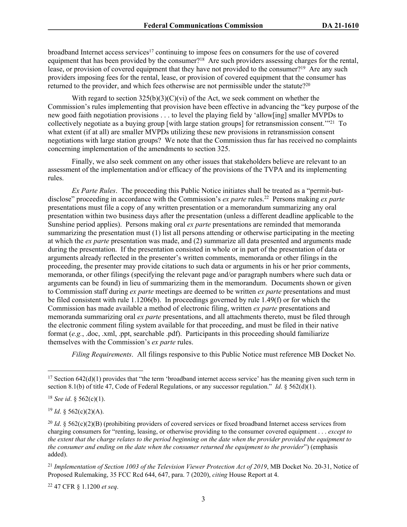broadband Internet access services<sup>17</sup> continuing to impose fees on consumers for the use of covered equipment that has been provided by the consumer?<sup>18</sup> Are such providers assessing charges for the rental, lease, or provision of covered equipment that they have not provided to the consumer?<sup>19</sup> Are any such providers imposing fees for the rental, lease, or provision of covered equipment that the consumer has returned to the provider, and which fees otherwise are not permissible under the statute?<sup>20</sup>

With regard to section  $325(b)(3)(C)(vi)$  of the Act, we seek comment on whether the Commission's rules implementing that provision have been effective in advancing the "key purpose of the new good faith negotiation provisions . . . to level the playing field by 'allow[ing] smaller MVPDs to collectively negotiate as a buying group [with large station groups] for retransmission consent.'"<sup>21</sup> To what extent (if at all) are smaller MVPDs utilizing these new provisions in retransmission consent negotiations with large station groups? We note that the Commission thus far has received no complaints concerning implementation of the amendments to section 325.

Finally, we also seek comment on any other issues that stakeholders believe are relevant to an assessment of the implementation and/or efficacy of the provisions of the TVPA and its implementing rules.

*Ex Parte Rules*. The proceeding this Public Notice initiates shall be treated as a "permit-butdisclose" proceeding in accordance with the Commission's *ex parte* rules.<sup>22</sup> Persons making *ex parte* presentations must file a copy of any written presentation or a memorandum summarizing any oral presentation within two business days after the presentation (unless a different deadline applicable to the Sunshine period applies). Persons making oral *ex parte* presentations are reminded that memoranda summarizing the presentation must (1) list all persons attending or otherwise participating in the meeting at which the *ex parte* presentation was made, and (2) summarize all data presented and arguments made during the presentation. If the presentation consisted in whole or in part of the presentation of data or arguments already reflected in the presenter's written comments, memoranda or other filings in the proceeding, the presenter may provide citations to such data or arguments in his or her prior comments, memoranda, or other filings (specifying the relevant page and/or paragraph numbers where such data or arguments can be found) in lieu of summarizing them in the memorandum. Documents shown or given to Commission staff during *ex parte* meetings are deemed to be written *ex parte* presentations and must be filed consistent with rule 1.1206(b). In proceedings governed by rule 1.49(f) or for which the Commission has made available a method of electronic filing, written *ex parte* presentations and memoranda summarizing oral *ex parte* presentations, and all attachments thereto, must be filed through the electronic comment filing system available for that proceeding, and must be filed in their native format (*e.g.*, .doc, .xml, .ppt, searchable .pdf). Participants in this proceeding should familiarize themselves with the Commission's *ex parte* rules.

*Filing Requirements*. All filings responsive to this Public Notice must reference MB Docket No.

<sup>18</sup> *See id*. § 562(c)(1).

 $19$  *Id.* § 562(c)(2)(A).

22 47 CFR § 1.1200 *et seq*.

 $17$  Section 642(d)(1) provides that "the term 'broadband internet access service' has the meaning given such term in section 8.1(b) of title 47, Code of Federal Regulations, or any successor regulation." *Id*. § 562(d)(1).

<sup>&</sup>lt;sup>20</sup> *Id.* § 562(c)(2)(B) (prohibiting providers of covered services or fixed broadband Internet access services from charging consumers for "renting, leasing, or otherwise providing to the consumer covered equipment . . . *except to the extent that the charge relates to the period beginning on the date when the provider provided the equipment to the consumer and ending on the date when the consumer returned the equipment to the provider*") (emphasis added).

<sup>21</sup> *Implementation of Section 1003 of the Television Viewer Protection Act of 2019*, MB Docket No. 20-31, Notice of Proposed Rulemaking, 35 FCC Rcd 644, 647, para. 7 (2020), *citing* House Report at 4.